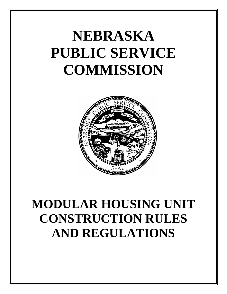# **NEBRASKA PUBLIC SERVICE COMMISSION**



## **MODULAR HOUSING UNIT CONSTRUCTION RULES AND REGULATIONS**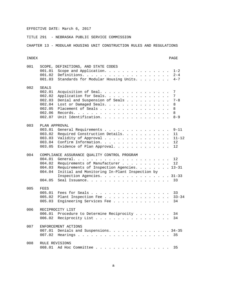TITLE 291 - NEBRASKA PUBLIC SERVICE COMMISSION

CHAPTER 13 - MODULAR HOUSING UNIT CONSTRUCTION RULES AND REGULATIONS

#### INDEX PAGE

| 001 | 001.01<br>001.02<br>001.03                                                  | SCOPE, DEFINITIONS, AND STATE CODES<br>Scope and Application.<br>$1 - 2$<br>$2 - 4$<br>Standards for Modular Housing Units.<br>$4 - 7$                                                                                                                       |
|-----|-----------------------------------------------------------------------------|--------------------------------------------------------------------------------------------------------------------------------------------------------------------------------------------------------------------------------------------------------------|
| 002 | SEALS<br>002.01<br>002.02<br>002.03<br>002.04<br>002.05<br>002.06<br>002.07 | Acquisition of Seal.<br>7<br>7<br>Application for Seals.<br>Denial and Suspension of Seals<br>$7 - 8$<br>Lost or Damaged Seals.<br>8<br>Placement of Seals<br>8<br>8<br>Unit Identification.<br>$8 - 9$                                                      |
| 003 | 003.01<br>003.02<br>003.03<br>003.04<br>003.05                              | PLAN APPROVAL<br>$9 - 11$<br>General Requirements<br>Required Construction Details.<br>11<br>Validity of Approval<br>$11 - 12$<br>12<br>Evidence of Plan Approval.<br>12                                                                                     |
| 004 | 004.01<br>004.02<br>004.03<br>004.04<br>004.05                              | COMPLIANCE ASSURANCE QUALITY CONTROL PROGRAM<br>$12 \overline{ }$<br>Requirements of Manufacturer<br>12<br>Requirements of Inspection Agencies. 13-31<br>Initial and Monitoring In-Plant Inspection by<br>Inspection Agencies. 31-33<br>Seal Issuance.<br>33 |
| 005 | FEES<br>005.01<br>005.02<br>005.03                                          | Fees for Seals<br>33<br>$33 - 34$<br>Plant Inspection Fee<br>Engineering Services Fee<br>34                                                                                                                                                                  |
| 006 | 006.01<br>006.02                                                            | RECIPROCITY LIST<br>Procedure to Determine Reciprocity<br>34<br>Reciprocity List<br>34                                                                                                                                                                       |
| 007 | 007.01<br>007.02                                                            | ENFORCEMENT ACTIONS<br>Denials and Suspensions. 34-35<br>35                                                                                                                                                                                                  |
| 008 | 008.01                                                                      | RULE REVISIONS<br>35                                                                                                                                                                                                                                         |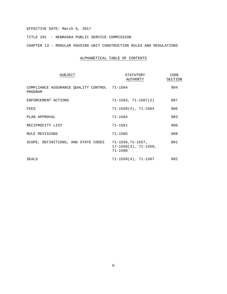TITLE 291 - NEBRASKA PUBLIC SERVICE COMMISSION

CHAPTER 13 - MODULAR HOUSING UNIT CONSTRUCTION RULES AND REGULATIONS

#### ALPHABETICAL TABLE OF CONTENTS

| SUBJECT                                                 | STATUTORY<br>AUTHORTY                                             | CODE<br>SECTION |
|---------------------------------------------------------|-------------------------------------------------------------------|-----------------|
| COMPLIANCE ASSURANCE QUALITY CONTROL 71-1564<br>PROGRAM |                                                                   | 004             |
| ENFORCEMENT ACTIONS                                     | $71 - 1563$ , $71 - 1567(2)$                                      | 007             |
| FEES                                                    | $71 - 1559(4)$ , $71 - 1564$                                      | 005             |
| PLAN APPROVAL                                           | $71 - 1564$                                                       | 003             |
| RECIPROCITY LIST                                        | $71 - 1561$                                                       | 006             |
| RULE REVISIONS                                          | $71 - 1565$                                                       | 008             |
| SCOPE, DEFINITIONS, AND STATE CODES                     | 71–1556,71–1557,<br>$17 - 1558(3)$ , $71 - 1559$ ,<br>$71 - 1560$ | 001             |
| SEALS                                                   | 71–1559(4), 71–1567                                               | 002             |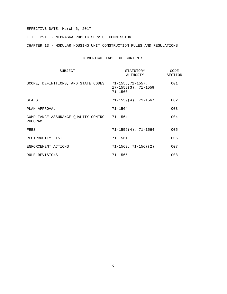TITLE 291 - NEBRASKA PUBLIC SERVICE COMMISSION

CHAPTER 13 - MODULAR HOUSING UNIT CONSTRUCTION RULES AND REGULATIONS

#### NUMERICAL TABLE OF CONTENTS

| SUBJECT                                                 | STATUTORY<br>AUTHORTY                         | CODE<br>SECTION |
|---------------------------------------------------------|-----------------------------------------------|-----------------|
| SCOPE, DEFINITIONS, AND STATE CODES 71-1556,71-1557,    | $17 - 1558(3)$ , $71 - 1559$ ,<br>$71 - 1560$ | 001             |
| SEALS                                                   | 71-1559(4), 71-1567                           | 002             |
| PLAN APPROVAL                                           | $71 - 1564$                                   | 003             |
| COMPLIANCE ASSURANCE QUALITY CONTROL 71-1564<br>PROGRAM |                                               | 004             |
| FEES                                                    | $71 - 1559(4)$ , $71 - 1564$                  | 005             |
| RECIPROCITY LIST                                        | $71 - 1561$                                   | 006             |
| ENFORCEMENT ACTIONS                                     | $71 - 1563, 71 - 1567(2)$                     | 007             |
| RULE REVISIONS                                          | $71 - 1565$                                   | 008             |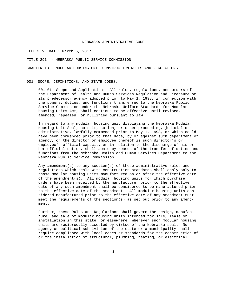#### TITLE 291 - NEBRASKA PUBLIC SERVICE COMMISSION

CHAPTER 13 - MODULAR HOUSING UNIT CONSTRUCTION RULES AND REGULATIONS

#### 001 SCOPE, DEFINITIONS, AND STATE CODES:

001.01 Scope and Application**:** All rules, regulations, and orders of the Department of Health and Human Services Regulation and Licensure or its predecessor agency adopted prior to May 1, 1998, in connection with the powers, duties, and functions transferred to the Nebraska Public Service Commission under the Nebraska Uniform Standards for Modular housing Units Act, shall continue to be effective until revised, amended, repealed, or nullified pursuant to law.

In regard to any modular housing unit displaying the Nebraska Modular Housing Unit Seal, no suit, action, or other proceeding, judicial or administrative, lawfully commenced prior to May 1, 1998, or which could have been commenced prior to that date, by or against such department or agency, or the director or employee thereof is such director's or employee's official capacity or in relation to the discharge of his or her official duties, shall abate by reason of the transfer of duties and functions from the Nebraska Health and Human Services Department to the Nebraska Public Service Commission.

Any amendment(s) to any section(s) of these administrative rules and regulations which deals with construction standards shall apply only to those modular housing units manufactured on or after the effective date of the amendment(s). All modular housing units for which purchase orders have been received by the manufacturer prior to the effective date of any such amendment shall be considered to be manufactured prior to the effective date of the amendment. All modular housing units considered manufactured prior to the effective date of any amendment must meet the requirements of the section(s) as set out prior to any amendment.

Further, these Rules and Regulations shall govern the design, manufacture, and sale of modular housing units intended for sale, lease or installation in this state, or elsewhere, wherever such modular housing units are reciprocally accepted by virtue of the Nebraska seal. No agency or political subdivision of the state or a municipality shall require compliance with local codes or standards for the construction of or the installation of structural, plumbing, heating, or electrical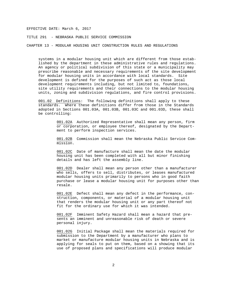TITLE 291 - NEBRASKA PUBLIC SERVICE COMMISSION

CHAPTER 13 - MODULAR HOUSING UNIT CONSTRUCTION RULES AND REGULATIONS

systems in a modular housing unit which are different from those established by the department in these administrative rules and regulations. An agency or political subdivision of this state or a municipality may prescribe reasonable and necessary requirements of the site development for modular housing units in accordance with local standards. Site development is defined for the purposes of such act as those local development requirements including, but not limited to, foundations, site utility requirements and their connections to the modular housing units, zoning and subdivision regulations, and fire control provisions.

001.02 Definitions: The following definitions shall apply to these standards. Where these definitions differ from those in the Standards adopted in Sections 001.03A, 001.03B, 001.03C and 001.03D, these shall be controlling:

> 001.02A Authorized Representative shall mean any person, firm or corporation, or employee thereof, designated by the Department to perform inspection services.

> 001.02B Commission shall mean the Nebraska Public Service Commission.

001.02C Date of manufacture shall mean the date the modular housing unit has been completed with all but minor finishing details and has left the assembly line.

001.02D Dealer shall mean any person other than a manufacturer who sells, offers to sell, distributes, or leases manufactured modular housing units primarily to persons who in good faith purchase or lease a modular housing unit for purposes other than resale.

001.02E Defect shall mean any defect in the performance, construction, components, or material of a modular housing unit that renders the modular housing unit or any part thereof not fit for the ordinary use for which it was intended.

001.02F Imminent Safety Hazard shall mean a hazard that presents an imminent and unreasonable risk of death or severe personal injury.

001.02G Initial Package shall mean the materials required for submission to the Department by a manufacturer who plans to market or manufacture modular housing units in Nebraska and is applying for seals to put on them, based on a showing that its use of proposed plans and specifications will produce modular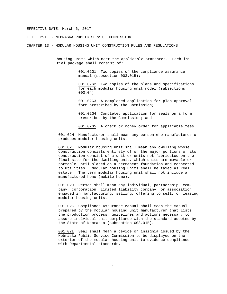TITLE 291 - NEBRASKA PUBLIC SERVICE COMMISSION

CHAPTER 13 - MODULAR HOUSING UNIT CONSTRUCTION RULES AND REGULATIONS

housing units which meet the applicable standards. Each initial package shall consist of:

> 001.02G1 Two copies of the compliance assurance manual (subsection 003.01B);

001.02G2 Two copies of the plans and specifications for each modular housing unit model (subsections 003.04).

001.02G3 A completed application for plan approval form prescribed by the Commission;

001.02G4 Completed application for seals on a form prescribed by the Commission; and

001.02G5 A check or money order for applicable fees.

001.02H Manufacturer shall mean any person who manufactures or produces modular housing units.

001.02I Modular housing unit shall mean any dwelling whose construction consists entirely of or the major portions of its construction consist of a unit or units not fabricated on the final site for the dwelling unit, which units are movable or portable until placed on a permanent foundation and connected to utilities. Modular housing units shall be taxed as real estate. The term modular housing unit shall not include a manufactured home (mobile home).

001.02J Person shall mean any individual, partnership, company, corporation, limited liability company, or association engaged in manufacturing, selling, offering to sell, or leasing modular housing units.

001.02K Compliance Assurance Manual shall mean the manual prepared by the modular housing unit manufacturer that lists the production process, guidelines and actions necessary to assure individual unit compliance with the standard adopted by the State of Nebraska (subsection 003.01B).

001.02L Seal shall mean a device or insignia issued by the Nebraska Public Service Commission to be displayed on the exterior of the modular housing unit to evidence compliance with Departmental standards.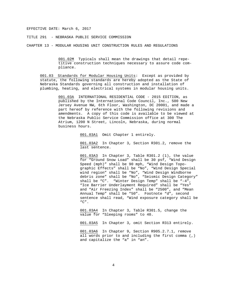TITLE 291 - NEBRASKA PUBLIC SERVICE COMMISSION

CHAPTER 13 - MODULAR HOUSING UNIT CONSTRUCTION RULES AND REGULATIONS

001.02M Typicals shall mean the drawings that detail repetitive construction techniques necessary to assure code compliance.

001.03 Standards for Modular Housing Units: Except as provided by statute, the following standards are hereby adopted as the State of Nebraska Standards governing all construction and installation of plumbing, heating, and electrical systems in modular housing units.

> 001.03A INTERNATIONAL RESIDENTIAL CODE - 2015 EDITION, as published by the International Code Council, Inc., 500 New Jersey Avenue NW, 6th Floor, Washington, DC 20001, and made a part hereof by reference with the following revisions and amendments. A copy of this code is available to be viewed at the Nebraska Public Service Commission office at 300 The Atrium, 1200 N Street, Lincoln, Nebraska, during normal business hours.

> > 001.03A1 Omit Chapter 1 entirely.

001.03A2 In Chapter 3, Section R301.2, remove the last sentence.

001.03A3 In Chapter 3, Table R301.2 (1), the value for "Ground Snow Load" shall be 30 psf, "Wind Design Speed (mph)" shall be 90 mph, "Wind Design Topographic Effects" shall be "No", "Wind Design Special wind region" shall be "No", "Wind Design Windborne debris zone" shall be "No", "Seismic Design Category" shall be "C". "Winter Design Temp" shall be "-4", "Ice Barrier Underlayment Required" shall be "Yes" and "Air Freezing Index" shall be "2500", and "Mean Annual Temp" shall be "50". Footnote "d", second sentence shall read, "Wind exposure category shall be "C".

001.03A4 In Chapter 3, Table R301.5, change the value for "Sleeping rooms" to 40.

001.03A5 In Chapter 3, omit Section R313 entirely.

001.03A6 In Chapter 9, Section R905.2.7.1, remove all words prior to and including the first comma (,) and capitalize the "a" in "an".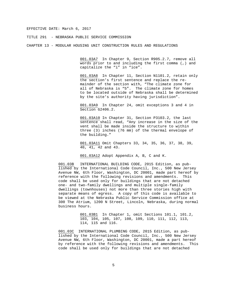TITLE 291 - NEBRASKA PUBLIC SERVICE COMMISSION

CHAPTER 13 - MODULAR HOUSING UNIT CONSTRUCTION RULES AND REGULATIONS

001.03A7 In Chapter 9, Section R905.2.7, remove all words prior to and including the first comma (,) and capitalize the "i" in "ice".

001.03A8 In Chapter 11, Section N1101.2, retain only the section's first sentence and replace the remainder of the section with, "The climate zone for all of Nebraska is "5". The climate zone for homes to be located outside of Nebraska shall be determined by the site's authority having jurisdiction".

001.03A9 In Chapter 24, omit exceptions 3 and 4 in Section G2406.2.

001.03A10 In Chapter 31, Section P3103.2, the last sentence shall read, "Any increase in the size of the vent shall be made inside the structure to within three (3) inches (76 mm) of the thermal envelope of the building."

001.03A11 Omit Chapters 33, 34, 35, 36, 37, 38, 39, 40, 41, 42 and 43.

001.03A12 Adopt Appendix A, B, C and K.

001.03B INTERNATIONAL BUILDING CODE, 2015 Edition, as published by the International Code Council, Inc., 500 New Jersey Avenue NW, 6th Floor, Washington, DC 20001, made part hereof by reference with the following revisions and amendments. This code shall be used only for buildings that are not detached one- and two-family dwellings and multiple single-family dwellings (townhouses) not more than three stories high with separate means of egress. A copy of this code is available to be viewed at the Nebraska Public Service Commission office at 300 The Atrium, 1200 N Street, Lincoln, Nebraska, during normal business hours.

> 001.03B1 In Chapter 1, omit Sections 101.1, 101.2, 103, 104, 105, 107, 108, 109, 110, 111, 112, 113, 114, 115 and 116.

001.03C INTERNATIONAL PLUMBING CODE, 2015 Edition, as published by the International Code Council, Inc., 500 New Jersey Avenue NW, 6th Floor, Washington, DC 20001, made a part hereof by reference with the following revisions and amendments. This code shall be used only for buildings that are not detached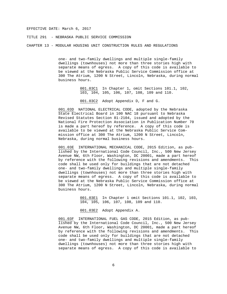TITLE 291 - NEBRASKA PUBLIC SERVICE COMMISSION

CHAPTER 13 - MODULAR HOUSING UNIT CONSTRUCTION RULES AND REGULATIONS

one- and two-family dwellings and multiple single-family dwellings (townhouses) not more than three stories high with separate means of egress. A copy of this code is available to be viewed at the Nebraska Public Service Commission office at 300 The Atrium, 1200 N Street, Lincoln, Nebraska, during normal business hours.

> 001.03C1 In Chapter 1, omit Sections 101.1, 102, 103, 104, 105, 106, 107, 108, 109 and 110.

001.03C2 Adopt Appendix D, F and G.

001.03D NATIONAL ELECTRICAL CODE, adopted by the Nebraska State Electrical Board in 100 NAC 18 pursuant to Nebraska Revised Statutes Section 81-2104, issued and adopted by the National Fire Protection Association in Publication Number 70 is made a part hereof by reference. A copy of this code is available to be viewed at the Nebraska Public Service Commission office at 300 The Atrium, 1200 N Street, Lincoln, Nebraska, during normal business hours.

001.03E INTERNATIONAL MECHANICAL CODE, 2015 Edition, as published by the International Code Council, Inc., 500 New Jersey Avenue NW, 6th Floor, Washington, DC 20001, made a part hereof by reference with the following revisions and amendments. This code shall be used only for buildings that are not detached one- and two-family dwellings and multiple single-family dwellings (townhouses) not more than three stories high with separate means of egress. A copy of this code is available to be viewed at the Nebraska Public Service Commission office at 300 The Atrium, 1200 N Street, Lincoln, Nebraska, during normal business hours.

> 001.03E1 In Chapter 1 omit Sections 101.1, 102, 103, 104, 105, 106, 107, 108, 109 and 110.

001.03E2 Adopt Appendix A.

001.03F INTERNATIONAL FUEL GAS CODE, 2015 Edition, as published by the International Code Council, Inc., 500 New Jersey Avenue NW, 6th Floor, Washington, DC 20001, made a part hereof by reference with the following revisions and amendments. code shall be used only for buildings that are not detached one- and two-family dwellings and multiple single-family dwellings (townhouses) not more than three stories high with separate means of egress. A copy of this code is available to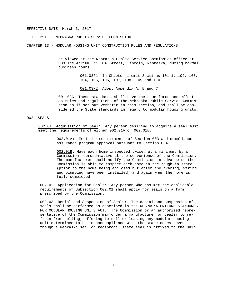TITLE 291 - NEBRASKA PUBLIC SERVICE COMMISSION

CHAPTER 13 - MODULAR HOUSING UNIT CONSTRUCTION RULES AND REGULATIONS

be viewed at the Nebraska Public Service Commission office at 300 The Atrium, 1200 N Street, Lincoln, Nebraska, during normal business hours.

> 001.03F1 In Chapter 1 omit Sections 101.1, 102, 103, 104, 105, 106, 107, 108, 109 and 110.

001.03F2 Adopt Appendix A, B and C.

001.03G These standards shall have the same force and effect as rules and regulations of the Nebraska Public Service Commission as if set out verbatim in this section, and shall be considered the State standards in regard to modular housing units.

#### 002 SEALS:

002.01 Acquisition of Seal: Any person desiring to acquire a seal must meet the requirements of either 002.01A or 002.01B.

> 002.01A: Meet the requirements of Section 003 and compliance assurance program approval pursuant to Section 004.

002.01B: Have each home inspected twice, at a minimum, by a Commission representative at the convenience of the Commission. The manufacturer shall notify the Commission in advance so the Commission is able to inspect each home in the rough-in state (prior to the home being enclosed but after the framing, wiring and plumbing have been installed) and again when the home is fully completed.

002.02 Application for Seals: Any person who has met the applicable requirements of Subsection 002.01 shall apply for seals on a form prescribed by the Commission.

002.03 Denial and Suspension of Seals: The denial and suspension of seals shall be performed as described in the NEBRASKA UNIFORM STANDARDS FOR MODULAR HOUSING UNITS ACT. The Commission or an authorized representative of the Commission may order a manufacturer or dealer to refrain from selling, offering to sell or leasing any modular housing unit determined to be in noncompliance with the state codes, even though a Nebraska seal or reciprocal state seal is affixed to the unit.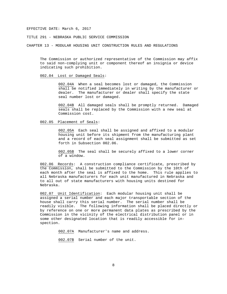TITLE 291 - NEBRASKA PUBLIC SERVICE COMMISSION

CHAPTER 13 - MODULAR HOUSING UNIT CONSTRUCTION RULES AND REGULATIONS

The Commission or authorized representative of the Commission may affix to said non-complying unit or component thereof an insignia or device indicating such prohibition.

#### 002.04 Lost or Damaged Seals:

002.04A When a seal becomes lost or damaged, the Commission shall be notified immediately in writing by the manufacturer or dealer. The manufacturer or dealer shall specify the state seal number lost or damaged.

002.04B All damaged seals shall be promptly returned. Damaged seals shall be replaced by the Commission with a new seal at Commission cost.

#### 002.05 Placement of Seals:

002.05A Each seal shall be assigned and affixed to a modular housing unit before its shipment from the manufacturing plant and a record of each seal assignment shall be submitted as set forth in Subsection 002.06.

002.05B The seal shall be securely affixed to a lower corner of a window.

002.06 Records: A construction compliance certificate, prescribed by the Commission, shall be submitted to the Commission by the 10th of each month after the seal is affixed to the home. This rule applies to all Nebraska manufacturers for each unit manufactured in Nebraska and to all out of state manufacturers with housing units destined for Nebraska.

002.07 Unit Identification: Each modular housing unit shall be assigned a serial number and each major transportable section of the house shall carry this serial number. The serial number shall be readily visible. The following information shall be placed directly or by reference on one or more permanent data plates as prescribed by the Commission in the vicinity of the electrical distribution panel or in some other designated location that is readily accessible for inspection.

002.07A Manufacturer's name and address.

002.07B Serial number of the unit.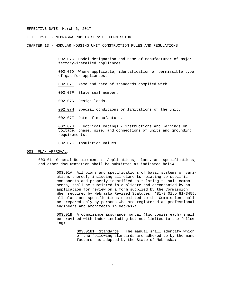TITLE 291 - NEBRASKA PUBLIC SERVICE COMMISSION

CHAPTER 13 - MODULAR HOUSING UNIT CONSTRUCTION RULES AND REGULATIONS

002.07C Model designation and name of manufacturer of major factory-installed appliances.

002.07D Where applicable, identification of permissible type of gas for appliances.

002.07E Name and date of standards complied with.

002.07F State seal number.

002.07G Design loads.

002.07H Special conditions or limitations of the unit.

002.07I Date of manufacture.

002.07J Electrical Ratings - instructions and warnings on voltage, phase, size, and connections of units and grounding requirements.

002.07K Insulation Values.

003 PLAN APPROVAL:

003.01 General Requirements: Applications, plans, and specifications, and other documentation shall be submitted as indicated below:

> 003.01A All plans and specifications of basic systems or variations thereof, including all elements relating to specific components and properly identified as relating to said components, shall be submitted in duplicate and accompanied by an application for review on a form supplied by the Commission. When required by Nebraska Revised Statutes, '81-3401to 81-3455, all plans and specifications submitted to the Commission shall be prepared only by persons who are registered as professional engineers and architects in Nebraska.

> 003.01B A compliance assurance manual (two copies each) shall be provided with index including but not limited to the following:

> > 003.01B1 Standards: The manual shall identify which of the following standards are adhered to by the manufacturer as adopted by the State of Nebraska: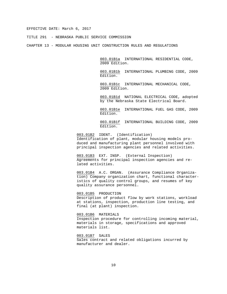TITLE 291 - NEBRASKA PUBLIC SERVICE COMMISSION

CHAPTER 13 - MODULAR HOUSING UNIT CONSTRUCTION RULES AND REGULATIONS

003.01B1a INTERNATIONAL RESIDENTIAL CODE, 2009 Edition.

003.01B1b INTERNATIONAL PLUMBING CODE, 2009 Edition.

003.01B1c INTERNATIONAL MECHANICAL CODE, 2009 Edition.

003.01B1d NATIONAL ELECTRICAL CODE, adopted by the Nebraska State Electrical Board.

003.01B1e INTERNATIONAL FUEL GAS CODE, 2009 Edition.

003.01B1f INTERNATIONAL BUILDING CODE, 2009 Edition.

003.01B2 IDENT. (Identification) Identification of plant, modular housing models produced and manufacturing plant personnel involved with principal inspection agencies and related activities.

003.01B3 EXT. INSP. (External Inspection) Agreements for principal inspection agencies and related activities.

003.01B4 A.C. ORGAN. (Assurance Compliance Organization) Company organization chart, functional characteristics of quality control groups, and resumes of key quality assurance personnel.

003.01B5 PRODUCTION Description of product flow by work stations, workload at stations, inspection, production line testing, and final (at plant) inspection.

003.01B6 MATERIALS Inspection procedure for controlling incoming material, materials in storage, specifications and approved materials list.

003.01B7 SALES Sales contract and related obligations incurred by manufacturer and dealer.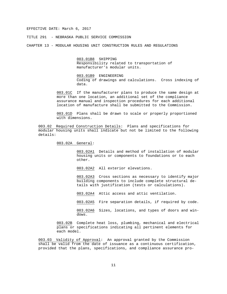TITLE 291 - NEBRASKA PUBLIC SERVICE COMMISSION

CHAPTER 13 - MODULAR HOUSING UNIT CONSTRUCTION RULES AND REGULATIONS

003.01B8 SHIPPING Responsibility related to transportation of manufacturer's modular units.

003.01B9 ENGINEERING Coding of drawings and calculations. Cross indexing of data.

003.01C If the manufacturer plans to produce the same design at more than one location, an additional set of the compliance assurance manual and inspection procedures for each additional location of manufacture shall be submitted to the Commission.

003.01D Plans shall be drawn to scale or properly proportioned with dimensions.

003.02 Required Construction Details: Plans and specifications for modular housing units shall indicate but not be limited to the following details:

003.02A General:

003.02A1 Details and method of installation of modular housing units or components to foundations or to each other.

003.02A2 All exterior elevations.

003.02A3 Cross sections as necessary to identify major building components to include complete structural details with justification (tests or calculations).

003.02A4 Attic access and attic ventilation.

003.02A5 Fire separation details, if required by code.

003.02A6 Sizes, locations, and types of doors and windows.

003.02B Complete heat loss, plumbing, mechanical and electrical plans or specifications indicating all pertinent elements for each model.

003.03 Validity of Approval: An approval granted by the Commission shall be valid from the date of issuance as a continuous certification, provided that the plans, specifications, and compliance assurance pro-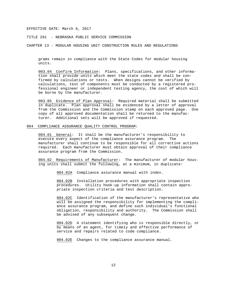TITLE 291 - NEBRASKA PUBLIC SERVICE COMMISSION

CHAPTER 13 - MODULAR HOUSING UNIT CONSTRUCTION RULES AND REGULATIONS

grams remain in compliance with the State Codes for modular housing units.

003.04 Confirm Information: Plans, specifications, and other information shall provide units which meet the state codes and shall be confirmed by calculations or tests. When designs cannot be verified by calculations, test of components must be conducted by a registered professional engineer or independent testing agency, the cost of which will be borne by the manufacturer.

003.05 Evidence of Plan Approval: Required material shall be submitted in duplicate. Plan approval shall be evidenced by a letter of approval from the Commission and the Commission stamp on each approved page. One copy of all approved documentation shall be returned to the manufacturer. Additional sets will be approved if requested.

#### 004 COMPLIANCE ASSURANCE QUALITY CONTROL PROGRAM:

004.01 General: It shall be the manufacturer's responsibility to execute every aspect of the compliance assurance program. The manufacturer shall continue to be responsible for all corrective actions required. Each manufacturer must obtain approval of their compliance assurance program from the Commission.

004.02 Requirements of Manufacturer: The manufacturer of modular housing units shall submit the following, at a minimum, in duplicate:

004.02A Compliance assurance manual with index.

004.02B Installation procedures with appropriate inspection procedures. Utility hook-up information shall contain appropriate inspection criteria and test description.

004.02C Identification of the manufacturer's representative who will be assigned the responsibility for implementing the compliance assurance program, and define such individual's functional obligation, responsibility and authority. The Commission shall be advised of any subsequent change.

004.02D A statement identifying who is responsible directly, or by means of an agent, for timely and effective performance of service and repairs related to code compliance.

004.02E Changes to the compliance assurance manual.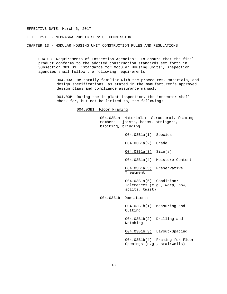TITLE 291 - NEBRASKA PUBLIC SERVICE COMMISSION

CHAPTER 13 - MODULAR HOUSING UNIT CONSTRUCTION RULES AND REGULATIONS

004.03 Requirements of Inspection Agencies: To ensure that the final product conforms to the adopted construction standards set forth in Subsection 001.03, "Standards for Modular Housing Units", inspection agencies shall follow the following requirements:

> 004.03A Be totally familiar with the procedures, materials, and design specifications, as stated in the manufacturer's approved design plans and compliance assurance manual.

004.03B During the in-plant inspection, the inspector shall check for, but not be limited to, the following:

004.03B1 Floor Framing:

004.03B1a Materials: Structural, framing members - joists, beams, stringers, blocking, bridging.

004.03B1a(1) Species 004.03B1a(2) Grade 004.03B1a(3) Size(s) 004.03B1a(4) Moisture Content 004.03B1a(5) Preservative Treatment 004.03B1a(6) Condition/ Tolerances (e.g., warp, bow, splits, twist) 004.03B1b Operations:

004.03B1b(1) Measuring and Cutting

004.03B1b(2) Drilling and Notching

004.03B1b(3) Layout/Spacing

004.03B1b(4) Framing for Floor Openings (e.g., stairwells)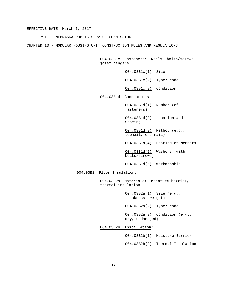TITLE 291 - NEBRASKA PUBLIC SERVICE COMMISSION

CHAPTER 13 - MODULAR HOUSING UNIT CONSTRUCTION RULES AND REGULATIONS

004.03B1c Fasteners: Nails, bolts/screws, joist hangers.

004.03B1c(1) Size

004.03B1c(2) Type/Grade

004.03B1c(3) Condition

004.03B1d Connections:

004.03B1d(1) Number (of fasteners)

004.03B1d(2) Location and Spacing

004.03B1d(3) Method (e.g., toenail, end-nail)

004.03B1d(4) Bearing of Members

004.03B1d(5) Washers (with bolts/screws)

004.03B1d(6) Workmanship

004.03B2 Floor Insulation:

004.03B2a Materials: Moisture barrier, thermal insulation.

> 004.03B2a(1) Size (e.g., thickness, weight)

004.03B2a(2) Type/Grade

004.03B2a(3) Condition (e.g., dry, undamaged)

004.03B2b Installation:

004.03B2b(1) Moisture Barrier

004.03B2b(2) Thermal Insulation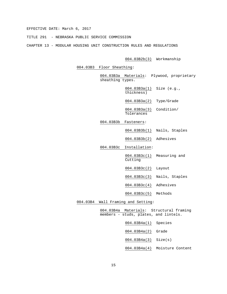TITLE 291 - NEBRASKA PUBLIC SERVICE COMMISSION

CHAPTER 13 - MODULAR HOUSING UNIT CONSTRUCTION RULES AND REGULATIONS

004.03B2b(3) Workmanship

004.03B3 Floor Sheathing:

004.03B3a Materials: Plywood, proprietary sheathing types.

> 004.03B3a(1) Size (e.g., thickness)

004.03B3a(2) Type/Grade

004.03B3a(3) Condition/ Tolerances

004.03B3b Fasteners:

004.03B3b(1) Nails, Staples

004.03B3b(2) Adhesives

004.03B3c Installation:

004.03B3c(1) Measuring and Cutting

004.03B3c(2) Layout

004.03B3c(3) Nails, Staples

004.03B3c(4) Adhesives

004.03B3c(5) Methods

004.03B4 Wall Framing and Setting:

004.03B4a Materials: Structural framing members - studs, plates, and lintels.

004.03B4a(1) Species

004.03B4a(2) Grade

004.03B4a(3) Size(s)

004.03B4a(4) Moisture Content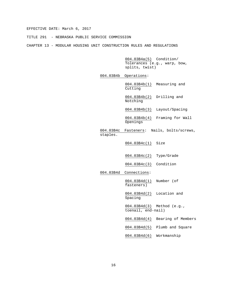TITLE 291 - NEBRASKA PUBLIC SERVICE COMMISSION

CHAPTER 13 - MODULAR HOUSING UNIT CONSTRUCTION RULES AND REGULATIONS

004.03B4a(5) Condition/ Tolerances (e.g., warp, bow, splits, twist)

004.03B4b Operations:

004.03B4b(1) Measuring and Cutting

004.03B4b(2) Drilling and Notching

004.03B4b(3) Layout/Spacing

004.03B4b(4) Framing for Wall Openings

004.03B4c Fasteners: Nails, bolts/screws, staples.

004.03B4c(1) Size

004.03B4c(2) Type/Grade

004.03B4c(3) Condition

004.03B4d Connections:

004.03B4d(1) Number (of fasteners)

004.03B4d(2) Location and Spacing

004.03B4d(3) Method (e.g., toenail, end-nail)

004.03B4d(4) Bearing of Members

004.03B4d(5) Plumb and Square

004.03B4d(6) Workmanship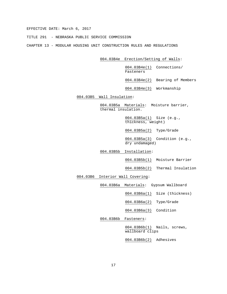TITLE 291 - NEBRASKA PUBLIC SERVICE COMMISSION

CHAPTER 13 - MODULAR HOUSING UNIT CONSTRUCTION RULES AND REGULATIONS

004.03B4e Erection/Setting of Walls:

004.03B4e(1) Connections/ Fasteners

004.03B4e(2) Bearing of Members

004.03B4e(3) Workmanship

004.03B5 Wall Insulation:

004.03B5a Materials: Moisture barrier, thermal insulation.

> 004.03B5a(1) Size (e.g., thickness, weight)

004.03B5a(2) Type/Grade

004.03B5a(3) Condition (e.g., dry undamaged)

004.03B5b Installation:

004.03B5b(1) Moisture Barrier

004.03B5b(2) Thermal Insulation

004.03B6 Interior Wall Covering:

004.03B6a Materials: Gypsum Wallboard

004.03B6a(1) Size (thickness)

004.03B6a(2) Type/Grade

004.03B6a(3) Condition

004.03B6b Fasteners:

004.03B6b(1) Nails, screws, wallboard clips

004.03B6b(2) Adhesives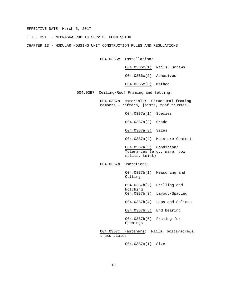TITLE 291 - NEBRASKA PUBLIC SERVICE COMMISSION

CHAPTER 13 - MODULAR HOUSING UNIT CONSTRUCTION RULES AND REGULATIONS

004.03B6c Installation:

004.03B6c(1) Nails, Screws

004.03B6c(2) Adhesives

004.03B6c(3) Method

004.03B7 Ceiling/Roof Framing and Setting:

004.03B7a Materials: Structural framing members - rafters, joists, roof trusses.

004.03B7a(1) Species

004.03B7a(2) Grade

004.03B7a(3) Sizes

004.03B7a(4) Moisture Content

004.03B7a(5) Condition/ Tolerances (e.g., warp, bow, splits, twist)

004.03B7b Operations:

004.03B7b(1) Measuring and Cutting

004.03B7b(2) Drilling and Notching

004.03B7b(3) Layout/Spacing

004.03B7b(4) Laps and Splices

004.03B7b(5) End Bearing

004.03B7b(6) Framing for Openings

004.03B7c Fasteners: Nails, bolts/screws, truss plates

004.03B7c(1) Size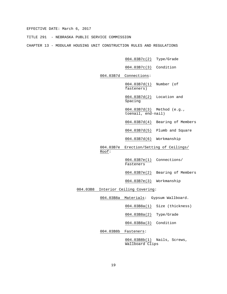TITLE 291 - NEBRASKA PUBLIC SERVICE COMMISSION

CHAPTER 13 - MODULAR HOUSING UNIT CONSTRUCTION RULES AND REGULATIONS

004.03B7c(2) Type/Grade

004.03B7c(3) Condition

004.03B7d Connections:

004.03B7d(1) Number (of fasteners)

004.03B7d(2) Location and Spacing

004.03B7d(3) Method (e.g., toenail, end-nail)

004.03B7d(4) Bearing of Members

004.03B7d(5) Plumb and Square

004.03B7d(6) Workmanship

004.03B7e Erection/Setting of Ceilings/ Roof:

> 004.03B7e(1) Connections/ Fasteners

004.03B7e(2) Bearing of Members

004.03B7e(3) Workmanship

004.03B8 Interior Ceiling Covering:

004.03B8a Materials: Gypsum Wallboard.

004.03B8a(1) Size (thickness)

004.03B8a(2) Type/Grade

004.03B8a(3) Condition

004.03B8b Fasteners:

004.03B8b(1) Nails, Screws, Wallboard Clips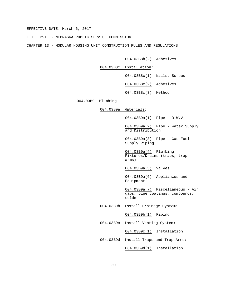TITLE 291 - NEBRASKA PUBLIC SERVICE COMMISSION

CHAPTER 13 - MODULAR HOUSING UNIT CONSTRUCTION RULES AND REGULATIONS

004.03B8b(2) Adhesives

004.03B8c Installation:

004.03B8c(1) Nails, Screws

004.03B8c(2) Adhesives

004.03B8c(3) Method

#### 004.03B9 Plumbing:

004.03B9a Materials:

004.03B9a(1) Pipe - D.W.V.

004.03B9a(2) Pipe - Water Supply and Distribution

004.03B9a(3) Pipe - Gas Fuel Supply Piping

004.03B9a(4) Plumbing Fixtures/Drains (traps, trap arms)

004.03B9a(5) Valves

004.03B9a(6) Appliances and Equipment

004.03B9a(7) Miscellaneous - Air gaps, pipe coatings, compounds, solder

004.03B9b Install Drainage System:

004.03B9b(1) Piping

004.03B9c Install Venting System:

004.03B9c(1) Installation

004.03B9d Install Traps and Trap Arms:

004.03B9d(1) Installation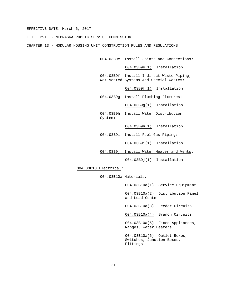TITLE 291 - NEBRASKA PUBLIC SERVICE COMMISSION

CHAPTER 13 - MODULAR HOUSING UNIT CONSTRUCTION RULES AND REGULATIONS

004.03B9e Install Joints and Connections:

004.03B9e(1) Installation

004.03B9f Install Indirect Waste Piping, Wet Vented Systems And Special Wastes:

004.03B9f(1) Installation

004.03B9g Install Plumbing Fixtures:

004.03B9g(1) Installation

004.03B9h Install Water Distribution System:

004.03B9h(1) Installation

004.03B9i Install Fuel Gas Piping:

004.03B9i(1) Installation

004.03B9j Install Water Heater and Vents:

004.03B9j(1) Installation

004.03B10 Electrical:

004.03B10a Materials:

004.03B10a(1) Service Equipment

004.03B10a(2) Distribution Panel and Load Center

004.03B10a(3) Feeder Circuits

004.03B10a(4) Branch Circuits

004.03B10a(5) Fixed Appliances, Ranges, Water Heaters

004.03B10a(6) Outlet Boxes, Switches, Junction Boxes, Fittings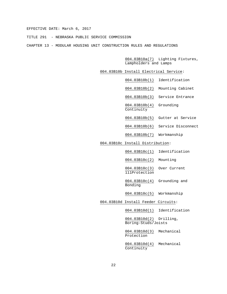TITLE 291 - NEBRASKA PUBLIC SERVICE COMMISSION

CHAPTER 13 - MODULAR HOUSING UNIT CONSTRUCTION RULES AND REGULATIONS

004.03B10a(7) Lighting Fixtures, Lampholders and Lamps

- 004.03B10b Install Electrical Service:
	- 004.03B10b(1) Identification
	- 004.03B10b(2) Mounting Cabinet
	- 004.03B10b(3) Service Entrance
	- 004.03B10b(4) Grounding Continuity
	-
	- 004.03B10b(5) Gutter at Service
	- 004.03B10b(6) Service Disconnect
	- 004.03B10b(7) Workmanship

#### 004.03B10c Install Distribution:

- 004.03B10c(1) Identification
- 004.03B10c(2) Mounting
- 004.03B10c(3) Over Current 111Protection
- 004.03B10c(4) Grounding and Bonding
- 004.03B10c(5) Workmanship

#### 004.03B10d Install Feeder Circuits:

004.03B10d(1) Identification

004.03B10d(2) Drilling, Boring-Studs/Joists

004.03B10d(3) Mechanical Protection

004.03B10d(4) Mechanical Continuity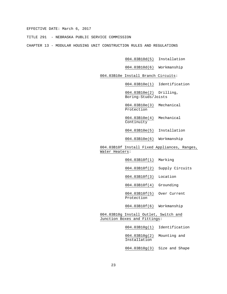TITLE 291 - NEBRASKA PUBLIC SERVICE COMMISSION

CHAPTER 13 - MODULAR HOUSING UNIT CONSTRUCTION RULES AND REGULATIONS

- 004.03B10d(5) Installation
- 004.03B10d(6) Workmanship
- 004.03B10e Install Branch Circuits:
	- 004.03B10e(1) Identification

004.03B10e(2) Drilling, Boring-Studs/Joists

- 004.03B10e(3) Mechanical Protection
- 004.03B10e(4) Mechanical Continuity
- 004.03B10e(5) Installation
- 004.03B10e(6) Workmanship
- 004.03B10f Install Fixed Appliances, Ranges, Water Heaters:
	- 004.03B10f(1) Marking
	- 004.03B10f(2) Supply Circuits
	- 004.03B10f(3) Location
	- 004.03B10f(4) Grounding
	- 004.03B10f(5) Over Current Protection
	- 004.03B10f(6) Workmanship
- 004.03B10g Install Outlet, Switch and Junction Boxes and Fittings:
	- 004.03B10g(1) Identification
	- 004.03B10g(2) Mounting and Installation
	- 004.03B10g(3) Size and Shape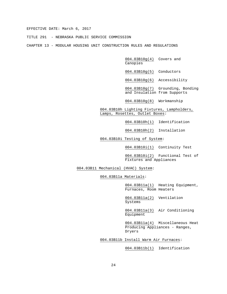TITLE 291 - NEBRASKA PUBLIC SERVICE COMMISSION

CHAPTER 13 - MODULAR HOUSING UNIT CONSTRUCTION RULES AND REGULATIONS

004.03B10g(4) Covers and Canopies

004.03B10g(5) Conductors

004.03B10g(6) Accessibility

004.03B10g(7) Grounding, Bonding and Insulation from Supports

004.03B10g(8) Workmanship

004.03B10h Lighting Fixtures, Lampholders, Lamps, Rosettes, Outlet Boxes:

004.03B10h(1) Identification

004.03B10h(2) Installation

004.03B10i Testing of System:

004.03B10i(1) Continuity Test

004.03B10i(2) Functional Test of Fixtures and Appliances

004.03B11 Mechanical (HVAC) System:

004.03B11a Materials:

004.03B11a(1) Heating Equipment, Furnaces, Room Heaters

004.03B11a(2) Ventilation Systems

004.03B11a(3) Air Conditioning **Equipment** 

004.03B11a(4) Miscellaneous Heat Producing Appliances - Ranges, Dryers

004.03B11b Install Warm Air Furnaces:

004.03B11b(1) Identification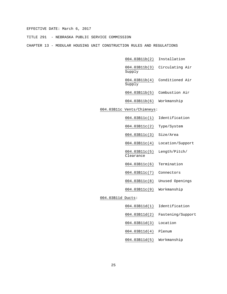TITLE 291 - NEBRASKA PUBLIC SERVICE COMMISSION

CHAPTER 13 - MODULAR HOUSING UNIT CONSTRUCTION RULES AND REGULATIONS

004.03B11b(2) Installation

004.03B11b(3) Circulating Air Supply

004.03B11b(4) Conditioned Air Supply

004.03B11b(5) Combustion Air

004.03B11b(6) Workmanship

#### 004.03B11c Vents/Chimneys:

- 004.03B11c(1) Identification
- 004.03B11c(2) Type/System
- 004.03B11c(3) Size/Area
- 004.03B11c(4) Location/Support

004.03B11c(5) Length/Pitch/ Clearance

- 004.03B11c(6) Termination
- 004.03B11c(7) Connectors
- 004.03B11c(8) Unused Openings
- 004.03B11c(9) Workmanship

#### 004.03B11d Ducts:

- 004.03B11d(1) Identification
- 004.03B11d(2) Fastening/Support
- 004.03B11d(3) Location
- 004.03B11d(4) Plenum
- 004.03B11d(5) Workmanship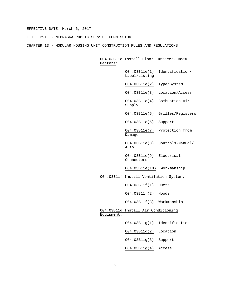TITLE 291 - NEBRASKA PUBLIC SERVICE COMMISSION

CHAPTER 13 - MODULAR HOUSING UNIT CONSTRUCTION RULES AND REGULATIONS

004.03B11e Install Floor Furnaces, Room Heaters: 004.03B11e(1) Identification/

Label/Listing

004.03B11e(2) Type/System

004.03B11e(3) Location/Access

004.03B11e(4) Combustion Air Supply

004.03B11e(5) Grilles/Registers

004.03B11e(6) Support

004.03B11e(7) Protection from Damage

004.03B11e(8) Controls-Manual/ Auto

004.03B11e(9) Electrical Connectors

004.03B11e(10) Workmanship

004.03B11f Install Ventilation System:

004.03B11f(1) Ducts

004.03B11f(2) Hoods

004.03B11f(3) Workmanship

004.03B11g Install Air Conditioning Equipment:

004.03B11g(1) Identification

004.03B11g(2) Location

004.03B11g(3) Support

004.03B11g(4) Access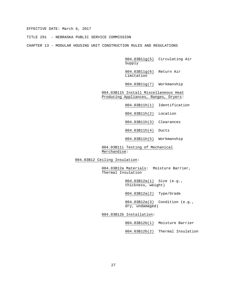TITLE 291 - NEBRASKA PUBLIC SERVICE COMMISSION

CHAPTER 13 - MODULAR HOUSING UNIT CONSTRUCTION RULES AND REGULATIONS

004.03B11g(5) Circulating Air Supply

004.03B11g(6) Return Air Limitation

004.03B11g(7) Workmanship

004.03B11h Install Miscellaneous Heat Producing Appliances, Ranges, Dryers:

004.03B11h(1) Identification

004.03B11h(2) Location

004.03B11h(3) Clearances

004.03B11h(4) Ducts

004.03B11h(5) Workmanship

004.03B11i Testing of Mechanical Merchandise:

004.03B12 Ceiling Insulation:

004.03B12a Materials: Moisture Barrier, Thermal Insulation

> 004.03B12a(1) Size (e.g., thickness, weight)

004.03B12a(2) Type/Grade

004.03B12a(3) Condition (e.g., dry, undamaged)

004.03B12b Installation:

004.03B12b(1) Moisture Barrier

004.03B12b(2) Thermal Insulation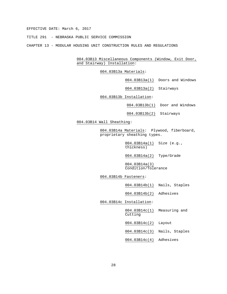TITLE 291 - NEBRASKA PUBLIC SERVICE COMMISSION

CHAPTER 13 - MODULAR HOUSING UNIT CONSTRUCTION RULES AND REGULATIONS

004.03B13 Miscellaneous Components (Window, Exit Door, and Stairway) Installation:

004.03B13a Materials:

004.03B13a(1) Doors and Windows

004.03B13a(2) Stairways

004.03B13b Installation:

004.03B13b(1) Door and Windows

004.03B13b(2) Stairways

004.03B14 Wall Sheathing:

004.03B14a Materials: Plywood, fiberboard, proprietary sheathing types.

> 004.03B14a(1) Size (e.g., thickness)

004.03B14a(2) Type/Grade

004.03B14a(3) Condition/Tolerance

004.03B14b Fasteners:

004.03B14b(1) Nails, Staples

004.03B14b(2) Adhesives

004.03B14c Installation:

004.03B14c(1) Measuring and Cutting

004.03B14c(2) Layout

004.03B14c(3) Nails, Staples

004.03B14c(4) Adhesives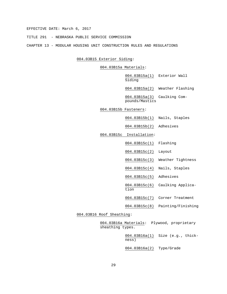TITLE 291 - NEBRASKA PUBLIC SERVICE COMMISSION

CHAPTER 13 - MODULAR HOUSING UNIT CONSTRUCTION RULES AND REGULATIONS

004.03B15 Exterior Siding:

004.03B15a Materials:

004.03B15a(1) Exterior Wall Siding

004.03B15a(2) Weather Flashing

004.03B15a(3) Caulking Compounds/Mastics

004.03B15b Fasteners:

004.03B15b(1) Nails, Staples

004.03B15b(2) Adhesives

004.03B15c Installation:

tion

004.03B15c(1) Flashing

004.03B15c(2) Layout

004.03B15c(3) Weather Tightness

004.03B15c(4) Nails, Staples

004.03B15c(5) Adhesives

004.03B15c(6) Caulking Applica-

004.03B15c(7) Corner Treatment

004.03B15c(8) Painting/Finishing

004.03B16 Roof Sheathing:

004.03B16a Materials: Plywood, proprietary sheathing types.

> 004.03B16a(1) Size (e.g., thickness)

004.03B16a(2) Type/Grade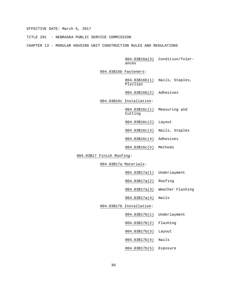TITLE 291 - NEBRASKA PUBLIC SERVICE COMMISSION

CHAPTER 13 - MODULAR HOUSING UNIT CONSTRUCTION RULES AND REGULATIONS

004.03B16a(3) Condition/Tolerances

004.03B16b Fasteners:

004.03B16b(1) Nails, Staples, Plyclips

004.03B16b(2) Adhesives

004.03B16c Installation:

004.03B16c(1) Measuring and Cutting

004.03B16c(2) Layout

004.03B16c(3) Nails, Staples

004.03B16c(4) Adhesives

004.03B16c(5) Methods

004.03B17 Finish Roofing:

004.03B17a Materials:

|--|

004.03B17a(2) Roofing

004.03B17a(3) Weather Flashing

004.03B17a(4) Nails

004.03B17b Installation:

004.03B17b(1) Underlayment

004.03B17b(2) Flashing

004.03B17b(3) Layout

004.03B17b(4) Nails

004.03B17b(5) Exposure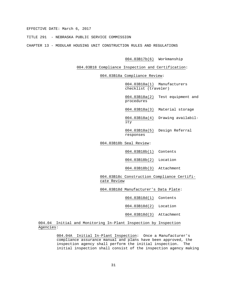TITLE 291 - NEBRASKA PUBLIC SERVICE COMMISSION

CHAPTER 13 - MODULAR HOUSING UNIT CONSTRUCTION RULES AND REGULATIONS

004.03B17b(6) Workmanship

004.03B18 Compliance Inspection and Certification:

004.03B18a Compliance Review:

004.03B18a(1) Manufacturers checklist (traveler)

004.03B18a(2) Test equipment and procedures

004.03B18a(3) Material storage

004.03B18a(4) Drawing availability

004.03B18a(5) Design Referral responses

004.03B18b Seal Review:

004.03B18b(1) Contents

004.03B18b(2) Location

004.03B18b(3) Attachment

004.03B18c Construction Compliance Certificate Review

004.03B18d Manufacturer's Data Plate:

004.03B18d(1) Contents

004.03B18d(2) Location

004.03B18d(3) Attachment

004.04 Initial and Monitoring In-Plant Inspection by Inspection Agencies:

> 004.04A Initial In-Plant Inspection: Once a Manufacturer's compliance assurance manual and plans have been approved, the inspection agency shall perform the initial inspection. The initial inspection shall consist of the inspection agency making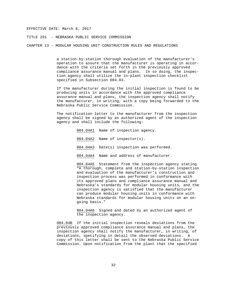TITLE 291 - NEBRASKA PUBLIC SERVICE COMMISSION

CHAPTER 13 - MODULAR HOUSING UNIT CONSTRUCTION RULES AND REGULATIONS

a station-by-station thorough evaluation of the manufacturer's operation to assure that the manufacturer is operating in accordance with the criteria set forth in the previously approved compliance assurance manual and plans. In so doing, the inspection agency shall utilize the in-plant inspection checklist specified in Subsection 004.03.

If the manufacturer during the initial inspection is found to be producing units in accordance with the approved compliance assurance manual and plans, the inspection agency shall notify the manufacturer, in writing, with a copy being forwarded to the Nebraska Public Service Commission.

The notification letter to the manufacturer from the inspection agency shall be signed by an authorized agent of the inspection agency and shall include the following:

> 004.04A1 Name of inspection agency. 004.04A2 Name of inspector(s). 004.04A3 Date(s) inspection was performed. 004.04A4 Name and address of manufacturer.

004.04A5 Statement from the inspection agency stating "A thorough, complete and station-by-station inspection and evaluation of the manufacturer's construction and inspection process was performed in conformance with its approved plans and compliance assurance manual and Nebraska's standards for modular housing units, and the inspection agency is satisfied that the manufacturer can produce modular housing units in conformance with Nebraska standards for modular housing units on an ongoing basis."

004.04A6 Signed and dated by an authorized agent of the inspection agency.

004.04B If the initial inspection reveals deviations from the previously approved compliance assurance manual and plans, the inspection agency shall notify the manufacturer, in writing, of deviations, specifying in detail the observed deviations. A copy of this letter shall be sent to the Nebraska Public Service Commission. Upon notification from the plant that the specified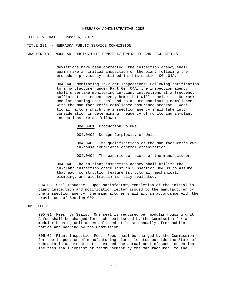#### NEBRASKA ADMINISTRATIVE CODE

EFFECTIVE DATE: March 6, 2017

TITLE 291 - NEBRASKA PUBLIC SERVICE COMMISSION

CHAPTER 13 - MODULAR HOUSING UNIT CONSTRUCTION RULES AND REGULATIONS

deviations have been corrected, the inspection agency shall again make an initial inspection of the plant following the procedure previously outlined in this section 004.04A.

004.04C Monitoring In-Plant Inspections: Following notification to a manufacturer under Part 004.04A, the inspection agency shall undertake monitoring in-plant inspections at a frequency sufficient to inspect every home that will receive the Nebraska modular housing unit seal and to assure continuing compliance with the manufacturer's compliance assurance program. Additional factors which the inspection agency shall take into consideration in determining frequency of monitoring in-plant inspections are as follows:

004.04C1 Production Volume

004.04C2 Design Complexity of Units

004.04C3 The qualifications of the manufacturer's own in-house compliance control organization.

004.04C4 The experience record of the manufacturer.

004.04D The in-plant inspection agency shall utilize the in-plant inspection check list in Subsection 004.03 to assure that each construction feature (structural, mechanical, plumbing, and electrical) is fully evaluated.

004.05 Seal Issuance: Upon satisfactory completion of the initial inplant inspection and notification letter issued to the manufacturer by the inspection agency, the manufacturer shall act in accordance with the provisions of Section 002.

#### 005 FEES:

005.01 Fees for Seals: One seal is required per modular housing unit. A fee shall be charged for each seal issued by the Commission for a modular housing unit as established at least annually after public notice and hearing by the Commission.

005.02 Plant Inspection Fee: Fees shall be charged by the Commission for the inspection of manufacturing plants located outside the State of Nebraska in an amount not to exceed the actual cost of such inspection. The fees shall consist of reimbursement by the manufacturer, to the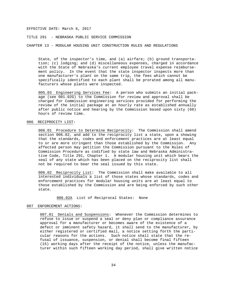TITLE 291 - NEBRASKA PUBLIC SERVICE COMMISSION

CHAPTER 13 - MODULAR HOUSING UNIT CONSTRUCTION RULES AND REGULATIONS

State, of the inspector's time, and (a) airfare; (b) ground transportation; (c) lodging; and (d) miscellaneous expenses, charged in accordance with the State of Nebraska's current employee travel expense reimbursement policy. In the event that the state inspector inspects more than one manufacturer's plant on the same trip, the fees which cannot be specifically identified to each plant shall be prorated among all manufacturers whose plants were inspected.

005.03 Engineering Services Fee: A person who submits an initial package (see 001.02G) to the Commission for review and approval shall be charged for Commission engineering services provided for performing the review of the initial package at an hourly rate as established annually after public notice and hearing by the Commission based upon sixty (60) hours of review time.

#### 006 RECIPROCITY LIST:

006.01 Procedure to Determine Reciprocity: The Commission shall amend section 006.02, and add to the reciprocity list a state, upon a showing that the standards, codes and enforcement practices are at least equal to or are more stringent than those established by the Commission. Any affected person may petition the Commission pursuant to the Rules of Commission Procedure as codified by state law and Nebraska Administrative Code, Title 291, Chapter 1. A modular housing unit which bears the seal of any state which has been placed on the reciprocity list shall not be required to bear the seal issued by this state.

006.02 Reciprocity List: The Commission shall make available to all interested individuals a list of those states whose standards, codes and enforcement practices for modular housing units are at least equal to those established by the Commission and are being enforced by such other state.

006.02A List of Reciprocal States: None

#### 007 ENFORCEMENT ACTIONS:

007.01 Denials and Suspensions: Whenever the Commission determines to refuse to issue or suspend a seal or deny plan or compliance assurance approval for a manufacturer or becomes aware of the existence of a defect or imminent safety hazard, it shall send to the manufacturer, by either registered or certified mail, a notice setting forth the particular reasons for the actions. Such notice shall state that the refusal of issuance, suspension, or denial shall become final fifteen (15) working days after the receipt of the notice, unless the manufacturer within such fifteen working day period, shall give written notice